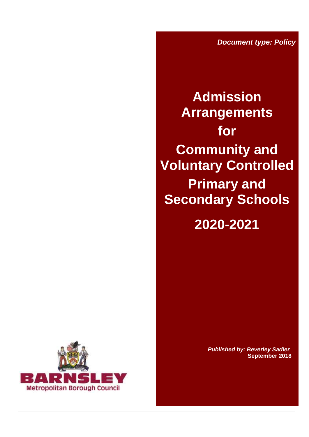*Document type: Policy*

**Admission Arrangements for Community and Voluntary Controlled Primary and Secondary Schools**

**2020-2021**



 *Published by: Beverley Sadler* **September 2018**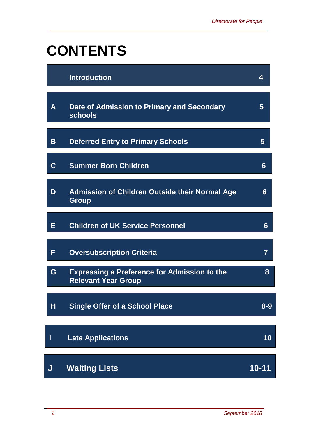# **CONTENTS**

|             | <b>Introduction</b>                                                               | 4       |
|-------------|-----------------------------------------------------------------------------------|---------|
| A           | Date of Admission to Primary and Secondary<br>schools                             | 5       |
| B           | <b>Deferred Entry to Primary Schools</b>                                          | 5       |
| $\mathbf C$ | <b>Summer Born Children</b>                                                       | 6       |
| D           | <b>Admission of Children Outside their Normal Age</b><br><b>Group</b>             | 6       |
| Е           | <b>Children of UK Service Personnel</b>                                           | 6       |
| F           | <b>Oversubscription Criteria</b>                                                  | 7       |
| G           | <b>Expressing a Preference for Admission to the</b><br><b>Relevant Year Group</b> | 8       |
| H           | <b>Single Offer of a School Place</b>                                             | $8 - 9$ |
| I           | <b>Late Applications</b>                                                          | 10      |
| J           | <b>Waiting Lists</b>                                                              | 10-11   |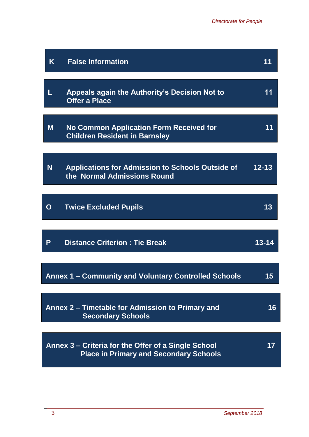| K        | <b>False Information</b>                                                                             | 11        |
|----------|------------------------------------------------------------------------------------------------------|-----------|
| L        | Appeals again the Authority's Decision Not to<br><b>Offer a Place</b>                                | 11        |
| M        | <b>No Common Application Form Received for</b><br><b>Children Resident in Barnsley</b>               | 11        |
| <b>N</b> | <b>Applications for Admission to Schools Outside of</b><br>the Normal Admissions Round               | $12 - 13$ |
| O        | <b>Twice Excluded Pupils</b>                                                                         | 13        |
| P        | <b>Distance Criterion: Tie Break</b>                                                                 | 13-14     |
|          | Annex 1 – Community and Voluntary Controlled Schools                                                 | 15        |
|          | Annex 2 – Timetable for Admission to Primary and<br><b>Secondary Schools</b>                         | 16        |
|          | Annex 3 – Criteria for the Offer of a Single School<br><b>Place in Primary and Secondary Schools</b> | 17        |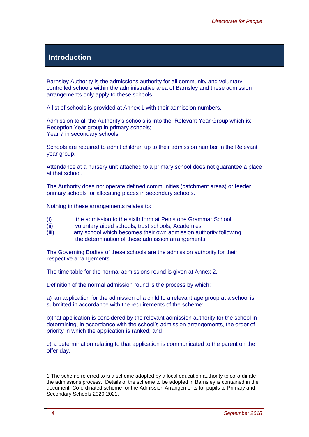#### **Introduction**

Barnsley Authority is the admissions authority for all community and voluntary controlled schools within the administrative area of Barnsley and these admission arrangements only apply to these schools.

A list of schools is provided at Annex 1 with their admission numbers.

Admission to all the Authority's schools is into the Relevant Year Group which is: Reception Year group in primary schools; Year 7 in secondary schools.

Schools are required to admit children up to their admission number in the Relevant year group.

Attendance at a nursery unit attached to a primary school does not guarantee a place at that school.

The Authority does not operate defined communities (catchment areas) or feeder primary schools for allocating places in secondary schools.

Nothing in these arrangements relates to:

- (i) the admission to the sixth form at Penistone Grammar School;
- (ii) voluntary aided schools, trust schools, Academies
- (iii) any school which becomes their own admission authority following the determination of these admission arrangements

The Governing Bodies of these schools are the admission authority for their respective arrangements.

The time table for the normal admissions round is given at Annex 2.

Definition of the normal admission round is the process by which:

a) an application for the admission of a child to a relevant age group at a school is submitted in accordance with the requirements of the scheme:

b)that application is considered by the relevant admission authority for the school in determining, in accordance with the school's admission arrangements, the order of priority in which the application is ranked; and

c) a determination relating to that application is communicated to the parent on the offer day.

<sup>1</sup> The scheme referred to is a scheme adopted by a local education authority to co-ordinate the admissions process. Details of the scheme to be adopted in Barnsley is contained in the document: Co-ordinated scheme for the Admission Arrangements for pupils to Primary and Secondary Schools 2020-2021.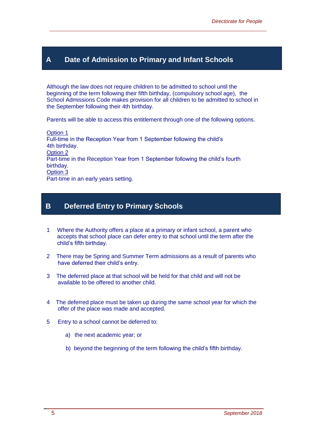#### **A Date of Admission to Primary and Infant Schools**

Although the law does not require children to be admitted to school until the beginning of the term following their fifth birthday, (compulsory school age), the School Admissions Code makes provision for all children to be admitted to school in the September following their 4th birthday.

Parents will be able to access this entitlement through one of the following options.

Option 1 Full-time in the Reception Year from 1 September following the child's 4th birthday. Option 2 Part-time in the Reception Year from 1 September following the child's fourth birthday. Option 3 Part-time in an early years setting.

#### **B Deferred Entry to Primary Schools**

- 1 Where the Authority offers a place at a primary or infant school, a parent who accepts that school place can defer entry to that school until the term after the child's fifth birthday.
- 2 There may be Spring and Summer Term admissions as a result of parents who have deferred their child's entry.
- 3 The deferred place at that school will be held for that child and will not be available to be offered to another child.
- 4 The deferred place must be taken up during the same school year for which the offer of the place was made and accepted.
- 5 Entry to a school cannot be deferred to:
	- a) the next academic year; or
	- b) beyond the beginning of the term following the child's fifth birthday.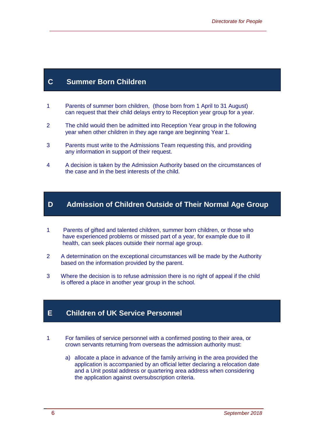#### **C Summer Born Children**

- 1 Parents of summer born children, (those born from 1 April to 31 August) can request that their child delays entry to Reception year group for a year.
- 2 The child would then be admitted into Reception Year group in the following year when other children in they age range are beginning Year 1.
- 3 Parents must write to the Admissions Team requesting this, and providing any information in support of their request.
- 4 A decision is taken by the Admission Authority based on the circumstances of the case and in the best interests of the child.

#### **D Admission of Children Outside of Their Normal Age Group**

- 1 Parents of gifted and talented children, summer born children, or those who have experienced problems or missed part of a year, for example due to ill health, can seek places outside their normal age group.
- 2 A determination on the exceptional circumstances will be made by the Authority based on the information provided by the parent.
- 3 Where the decision is to refuse admission there is no right of appeal if the child is offered a place in another year group in the school.

#### **E Children of UK Service Personnel**

- 1 For families of service personnel with a confirmed posting to their area, or crown servants returning from overseas the admission authority must:
	- a) allocate a place in advance of the family arriving in the area provided the application is accompanied by an official letter declaring a relocation date and a Unit postal address or quartering area address when considering the application against oversubscription criteria.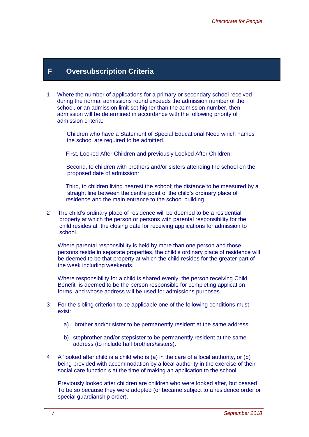#### **F Oversubscription Criteria**

1 Where the number of applications for a primary or secondary school received during the normal admissions round exceeds the admission number of the school, or an admission limit set higher than the admission number, then admission will be determined in accordance with the following priority of admission criteria:

 Children who have a Statement of Special Educational Need which names the school are required to be admitted.

First, Looked After Children and previously Looked After Children;

 Second, to children with brothers and/or sisters attending the school on the proposed date of admission*;*

 Third, to children living nearest the school; the distance to be measured by a straight line between the centre point of the child's ordinary place of residence and the main entrance to the school building.

2 The child's ordinary place of residence will be deemed to be a residential property at which the person or persons with parental responsibility for the child resides at the closing date for receiving applications for admission to school.

 Where parental responsibility is held by more than one person and those persons reside in separate properties, the child's ordinary place of residence will be deemed to be that property at which the child resides for the greater part of the week including weekends.

 Where responsibility for a child is shared evenly, the person receiving Child Benefit is deemed to be the person responsible for completing application forms, and whose address will be used for admissions purposes.

- 3 For the sibling criterion to be applicable one of the following conditions must exist:
	- a) brother and/or sister to be permanently resident at the same address;
	- b) stepbrother and/or stepsister to be permanently resident at the same address (to include half brothers/sisters).
- 4 A 'looked after child is a child who is (a) in the care of a local authority, or (b) being provided with accommodation by a local authority in the exercise of their social care function s at the time of making an application to the school.

 Previously looked after children are children who were looked after, but ceased To be so because they were adopted (or became subject to a residence order or special guardianship order).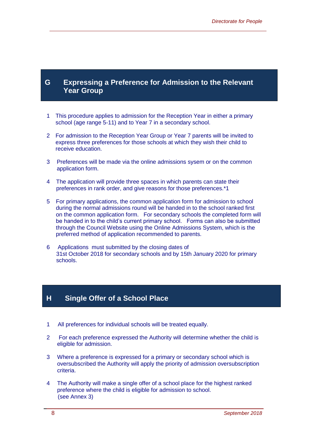#### **G Expressing a Preference for Admission to the Relevant Year Group**

- 1 This procedure applies to admission for the Reception Year in either a primary school (age range 5-11) and to Year 7 in a secondary school.
- 2 For admission to the Reception Year Group or Year 7 parents will be invited to express three preferences for those schools at which they wish their child to receive education.
- 3 Preferences will be made via the online admissions sysem or on the common application form.
- 4 The application will provide three spaces in which parents can state their preferences in rank order, and give reasons for those preferences.\*1
- 5 For primary applications, the common application form for admission to school during the normal admissions round will be handed in to the school ranked first on the common application form. For secondary schools the completed form will be handed in to the child's current primary school. Forms can also be submitted through the Council Website using the Online Admissions System, which is the preferred method of application recommended to parents.
- 6 Applications must submitted by the closing dates of 31st October 2018 for secondary schools and by 15th January 2020 for primary schools.

#### **H Single Offer of a School Place**

- 1 All preferences for individual schools will be treated equally.
- 2 For each preference expressed the Authority will determine whether the child is eligible for admission.
- 3 Where a preference is expressed for a primary or secondary school which is oversubscribed the Authority will apply the priority of admission oversubscription criteria.
- 4 The Authority will make a single offer of a school place for the highest ranked preference where the child is eligible for admission to school. (see Annex 3)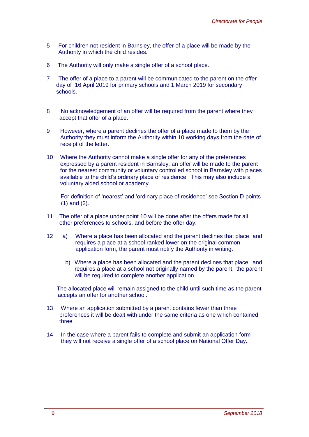- 5 For children not resident in Barnsley, the offer of a place will be made by the Authority in which the child resides.
- 6 The Authority will only make a single offer of a school place.
- 7 The offer of a place to a parent will be communicated to the parent on the offer day of 16 April 2019 for primary schools and 1 March 2019 for secondary schools.
- 8 No acknowledgement of an offer will be required from the parent where they accept that offer of a place.
- 9 However, where a parent declines the offer of a place made to them by the Authority they must inform the Authority within 10 working days from the date of receipt of the letter.
- 10 Where the Authority cannot make a single offer for any of the preferences expressed by a parent resident in Barnsley, an offer will be made to the parent for the nearest community or voluntary controlled school in Barnsley with places available to the child's ordinary place of residence. This may also include a voluntary aided school or academy.

 For definition of 'nearest' and 'ordinary place of residence' see Section D points (1) and (2).

- 11 The offer of a place under point 10 will be done after the offers made for all other preferences to schools, and before the offer day.
- 12 a) Where a place has been allocated and the parent declines that place and requires a place at a school ranked lower on the original common application form, the parent must notify the Authority in writing.
	- b) Where a place has been allocated and the parent declines that place and requires a place at a school not originally named by the parent, the parent will be required to complete another application.

 The allocated place will remain assigned to the child until such time as the parent accepts an offer for another school.

- 13 Where an application submitted by a parent contains fewer than three preferences it will be dealt with under the same criteria as one which contained three.
- 14 In the case where a parent fails to complete and submit an application form they will not receive a single offer of a school place on National Offer Day.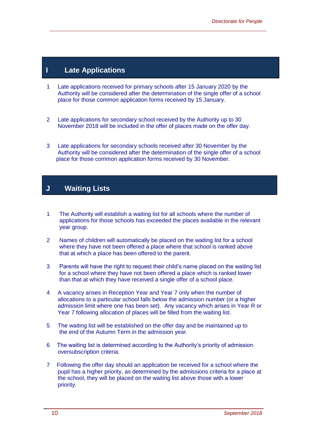#### **I Late Applications**

- 1 Late applications received for primary schools after 15 January 2020 by the Authority will be considered after the determination of the single offer of a school place for those common application forms received by 15 January.
- 2 Late applications for secondary school received by the Authority up to 30 November 2018 will be included in the offer of places made on the offer day.
- 3 Late applications for secondary schools received after 30 November by the Authority will be considered after the determination of the single offer of a school place for those common application forms received by 30 November.

### **J Waiting Lists**

- 1 The Authority will establish a waiting list for all schools where the number of applications for those schools has exceeded the places available in the relevant year group.
- 2 Names of children will automatically be placed on the waiting list for a school where they have not been offered a place where that school is ranked above that at which a place has been offered to the parent.
- 3 Parents will have the right to request their child's name placed on the waiting list for a school where they have not been offered a place which is ranked lower than that at which they have received a single offer of a school place.
- 4 A vacancy arises in Reception Year and Year 7 only when the number of allocations to a particular school falls below the admission number (or a higher admission limit where one has been set). Any vacancy which arises in Year R or Year 7 following allocation of places will be filled from the waiting list.
- 5 The waiting list will be established on the offer day and be maintained up to the end of the Autumn Term in the admission year.
- 6 The waiting list is determined according to the Authority's priority of admission oversubscription criteria.
- 7 Following the offer day should an application be received for a school where the pupil has a higher priority, as determined by the admissions criteria for a place at the school, they will be placed on the waiting list above those with a lower priority.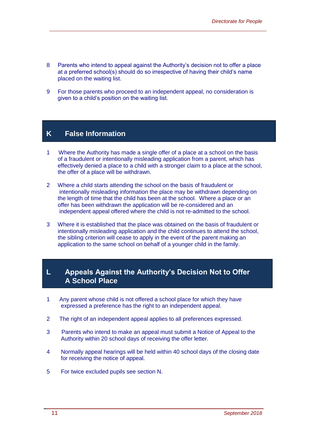- 8 Parents who intend to appeal against the Authority's decision not to offer a place at a preferred school(s) should do so irrespective of having their child's name placed on the waiting list.
- 9 For those parents who proceed to an independent appeal, no consideration is given to a child's position on the waiting list.

#### **K False Information**

- 1 Where the Authority has made a single offer of a place at a school on the basis of a fraudulent or intentionally misleading application from a parent, which has effectively denied a place to a child with a stronger claim to a place at the school, the offer of a place will be withdrawn.
- 2 Where a child starts attending the school on the basis of fraudulent or intentionally misleading information the place may be withdrawn depending on the length of time that the child has been at the school. Where a place or an offer has been withdrawn the application will be re-considered and an independent appeal offered where the child is not re-admitted to the school.
- 3 Where it is established that the place was obtained on the basis of fraudulent or intentionally misleading application and the child continues to attend the school, the sibling criterion will cease to apply in the event of the parent making an application to the same school on behalf of a younger child in the family.

#### **L Appeals Against the Authority's Decision Not to Offer A School Place**

- 1 Any parent whose child is not offered a school place for which they have expressed a preference has the right to an independent appeal.
- 2 The right of an independent appeal applies to all preferences expressed.
- 3 Parents who intend to make an appeal must submit a Notice of Appeal to the Authority within 20 school days of receiving the offer letter.
- 4 Normally appeal hearings will be held within 40 school days of the closing date for receiving the notice of appeal.
- 5 For twice excluded pupils see section N.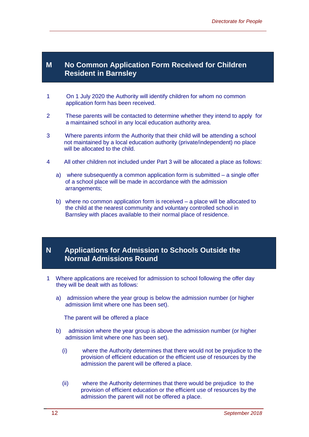#### **M No Common Application Form Received for Children Resident in Barnsley**

- 1 On 1 July 2020 the Authority will identify children for whom no common application form has been received.
- 2 These parents will be contacted to determine whether they intend to apply for a maintained school in any local education authority area.
- 3 Where parents inform the Authority that their child will be attending a school not maintained by a local education authority (private/independent) no place will be allocated to the child.
- 4 All other children not included under Part 3 will be allocated a place as follows:
	- a) where subsequently a common application form is submitted a single offer of a school place will be made in accordance with the admission arrangements;
	- b) where no common application form is received a place will be allocated to the child at the nearest community and voluntary controlled school in Barnsley with places available to their normal place of residence.

#### **N Applications for Admission to Schools Outside the Normal Admissions Round**

- 1 Where applications are received for admission to school following the offer day they will be dealt with as follows:
	- a) admission where the year group is below the admission number (or higher admission limit where one has been set).

The parent will be offered a place

- b) admission where the year group is above the admission number (or higher admission limit where one has been set).
	- (i) where the Authority determines that there would not be prejudice to the provision of efficient education or the efficient use of resources by the admission the parent will be offered a place.
	- (ii) where the Authority determines that there would be prejudice to the provision of efficient education or the efficient use of resources by the admission the parent will not be offered a place.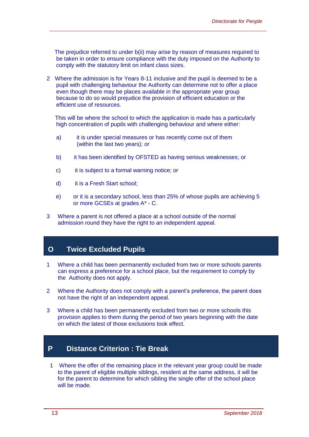The prejudice referred to under b(ii) may arise by reason of measures required to be taken in order to ensure compliance with the duty imposed on the Authority to comply with the statutory limit on infant class sizes.

2 Where the admission is for Years 8-11 inclusive and the pupil is deemed to be a pupil with challenging behaviour the Authority can determine not to offer a place even though there may be places available in the appropriate year group because to do so would prejudice the provision of efficient education or the efficient use of resources.

This will be where the school to which the application is made has a particularly high concentration of pupils with challenging behaviour and where either:

- a) it is under special measures or has recently come out of them (within the last two years); or
- b) it has been identified by OFSTED as having serious weaknesses; or
- c) it is subject to a formal warning notice; or
- d) it is a Fresh Start school;
- e) or it is a secondary school, less than 25% of whose pupils are achieving 5 or more GCSEs at grades A\* - C.
- 3 Where a parent is not offered a place at a school outside of the normal admission round they have the right to an independent appeal.

#### **O Twice Excluded Pupils**

- 1 Where a child has been permanently excluded from two or more schools parents can express a preference for a school place, but the requirement to comply by the Authority does not apply.
- 2 Where the Authority does not comply with a parent's preference, the parent does not have the right of an independent appeal.
- 3 Where a child has been permanently excluded from two or more schools this provision applies to them during the period of two years beginning with the date on which the latest of those exclusions took effect.

#### **P Distance Criterion : Tie Break**

 1 Where the offer of the remaining place in the relevant year group could be made to the parent of eligible multiple siblings, resident at the same address, it will be for the parent to determine for which sibling the single offer of the school place will be made.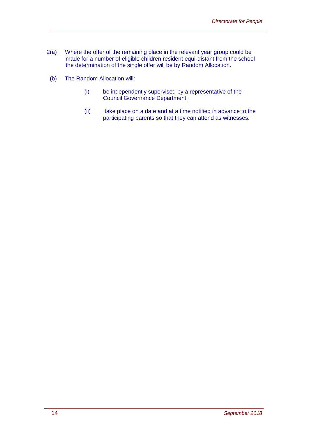- 2(a) Where the offer of the remaining place in the relevant year group could be made for a number of eligible children resident equi-distant from the school the determination of the single offer will be by Random Allocation.
- (b) The Random Allocation will:
	- (i) be independently supervised by a representative of the Council Governance Department;
	- (ii) take place on a date and at a time notified in advance to the participating parents so that they can attend as witnesses.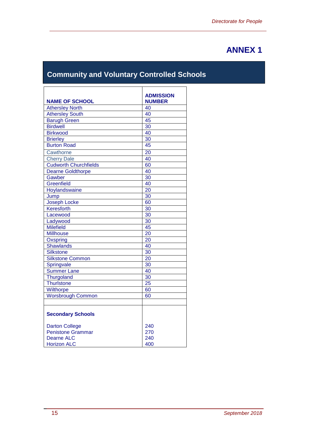# **ANNEX 1**

# **Community and Voluntary Controlled Schools**

|                              | <b>ADMISSION</b><br><b>NUMBER</b> |
|------------------------------|-----------------------------------|
| <b>NAME OF SCHOOL</b>        | 40                                |
| <b>Athersley North</b>       | 40                                |
| <b>Athersley South</b>       |                                   |
| <b>Barugh Green</b>          | 45                                |
| <b>Birdwell</b>              | 30                                |
| <b>Birkwood</b>              | 40                                |
| <b>Brierley</b>              | 30                                |
| <b>Burton Road</b>           | 45                                |
| Cawthorne                    | 20                                |
| <b>Cherry Dale</b>           | 40                                |
| <b>Cudworth Churchfields</b> | 60                                |
| <b>Dearne Goldthorpe</b>     | 40                                |
| Gawber                       | 30                                |
| Greenfield                   | 40                                |
| Hoylandswaine                | 20                                |
| Jump                         | 30                                |
| <b>Joseph Locke</b>          | 60                                |
| Keresforth                   | 30                                |
| Lacewood                     | 30                                |
| Ladywood                     | 30                                |
| <b>Milefield</b>             | 45                                |
| <b>Millhouse</b>             | 20                                |
| Oxspring                     | 20                                |
| <b>Shawlands</b>             | 40                                |
| <b>Silkstone</b>             | 30                                |
| <b>Silkstone Common</b>      | 20                                |
| Springvale                   | 30                                |
| Summer Lane                  | 40                                |
| Thurgoland                   | 30                                |
| Thurlstone                   | 25                                |
| Wilthorpe                    | 60                                |
| Worsbrough Common            | 60                                |
|                              |                                   |
| <b>Secondary Schools</b>     |                                   |
|                              |                                   |
| <b>Darton College</b>        | 240                               |
| <b>Penistone Grammar</b>     | 270                               |
| <b>Dearne ALC</b>            | 240                               |
| <b>Horizon ALC</b>           | 400                               |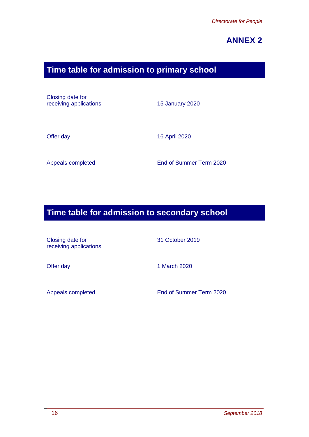# **ANNEX 2**

# **Time table for admission to primary school**

Closing date for receiving applications 15 January 2020

Offer day 16 April 2020

Appeals completed End of Summer Term 2020

## **Time table for admission to secondary school**

Closing date for receiving applications 31 October 2019

Offer day 1 March 2020

Appeals completed End of Summer Term 2020